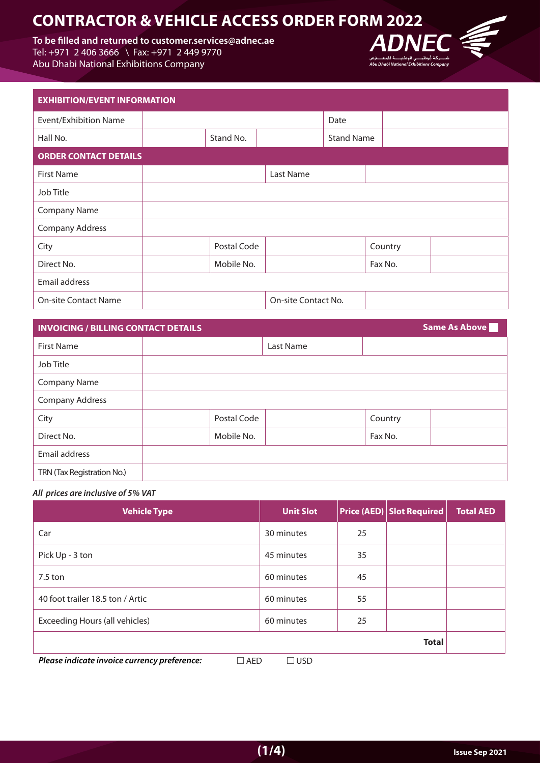# **2022**<br>
To be filled and returned to customer.services@adnec.ae <br>
Tel: +971 2 406 3666 \ Fax: +971 2 449 9770<br>
Abu Dhabi National Exhibitions Company<br>
Abu Dhabi National Exhibitions Company

To be filled and returned to customer.services@adnec.ae Tel: +971 2 406 3666 \ Fax: +971 2 449 9770

Abu Dhabi National Exhibitions Company



| <b>EXHIBITION/EVENT INFORMATION</b> |  |             |                     |                   |         |  |
|-------------------------------------|--|-------------|---------------------|-------------------|---------|--|
| <b>Event/Exhibition Name</b>        |  |             |                     | Date              |         |  |
| Hall No.                            |  | Stand No.   |                     | <b>Stand Name</b> |         |  |
| <b>ORDER CONTACT DETAILS</b>        |  |             |                     |                   |         |  |
| <b>First Name</b>                   |  |             | Last Name           |                   |         |  |
| Job Title                           |  |             |                     |                   |         |  |
| <b>Company Name</b>                 |  |             |                     |                   |         |  |
| <b>Company Address</b>              |  |             |                     |                   |         |  |
| City                                |  | Postal Code |                     |                   | Country |  |
| Direct No.                          |  | Mobile No.  |                     |                   | Fax No. |  |
| Email address                       |  |             |                     |                   |         |  |
| <b>On-site Contact Name</b>         |  |             | On-site Contact No. |                   |         |  |

| <b>INVOICING / BILLING CONTACT DETAILS</b> | Same As Above |           |         |
|--------------------------------------------|---------------|-----------|---------|
| <b>First Name</b>                          |               | Last Name |         |
| Job Title                                  |               |           |         |
| <b>Company Name</b>                        |               |           |         |
| <b>Company Address</b>                     |               |           |         |
| City                                       | Postal Code   |           | Country |
| Direct No.                                 | Mobile No.    |           | Fax No. |
| Email address                              |               |           |         |
| TRN (Tax Registration No.)                 |               |           |         |

### All prices are inclusive of 5% VAT

| <b>Vehicle Type</b>                                                                  | <b>Unit Slot</b> |    | <b>Price (AED) Slot Required</b> | <b>Total AED</b> |
|--------------------------------------------------------------------------------------|------------------|----|----------------------------------|------------------|
| Car                                                                                  | 30 minutes       | 25 |                                  |                  |
| Pick Up - 3 ton                                                                      | 45 minutes       | 35 |                                  |                  |
| $7.5$ ton                                                                            | 60 minutes       | 45 |                                  |                  |
| 40 foot trailer 18.5 ton / Artic                                                     | 60 minutes       | 55 |                                  |                  |
| Exceeding Hours (all vehicles)                                                       | 60 minutes       | 25 |                                  |                  |
|                                                                                      |                  |    | <b>Total</b>                     |                  |
| Dlagas indicate investes companions publicances.<br>$\Box$ AFD.<br>$\Box$ ucr $\Box$ |                  |    |                                  |                  |

*Please indicate invoice currency preference:* $\Box$  **AED**  $\Box$  **USD**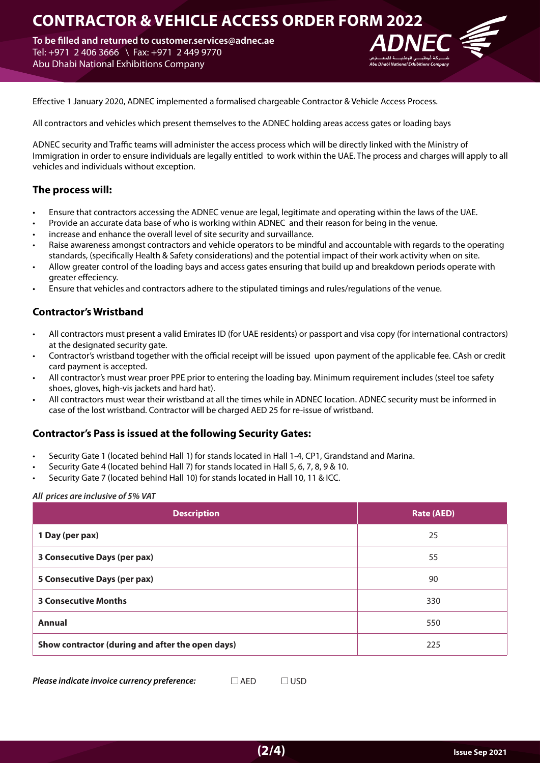# **CONTRACTOR & VEHICLE ACCESS ORDER FORM 2022**

To be filled and returned to customer services@adnec.ae Tel: +971 2 406 3666 \ Fax: +971 2 449 9770 Abu Dhabi National Exhibitions Company



Effective 1 January 2020, ADNEC implemented a formalised chargeable Contractor & Vehicle Access Process.

All contractors and vehicles which present themselves to the ADNEC holding areas access gates or loading bays

ADNEC security and Traffic teams will administer the access process which will be directly linked with the Ministry of Immigration in order to ensure individuals are legally entitled to work within the UAE. The process and charges will apply to all vehicles and individuals without exception.

## **The process will:**

- Ensure that contractors accessing the ADNEC venue are legal, legitimate and operating within the laws of the UAE.
- Provide an accurate data base of who is working within ADNEC and their reason for being in the venue.
- increase and enhance the overall level of site security and survaillance.
- Raise awareness amongst contractors and vehicle operators to be mindful and accountable with regards to the operating standards, (specifically Health & Safety considerations) and the potential impact of their work activity when on site.
- Allow greater control of the loading bays and access gates ensuring that build up and breakdown periods operate with greater effeciency.
- Ensure that vehicles and contractors adhere to the stipulated timings and rules/regulations of the venue.

## **Contractor's Wristband**

- All contractors must present a valid Emirates ID (for UAE residents) or passport and visa copy (for international contractors) at the designated security gate.
- Contractor's wristband together with the official receipt will be issued upon payment of the applicable fee. CAsh or credit card payment is accepted.
- All contractor's must wear proer PPE prior to entering the loading bay. Minimum requirement includes (steel toe safety shoes, gloves, high-vis jackets and hard hat).
- All contractors must wear their wristband at all the times while in ADNEC location. ADNEC security must be informed in case of the lost wristband. Contractor will be charged AED 25 for re-issue of wristband.

## **Contractor's Pass is issued at the following Security Gates:**

- Security Gate 1 (located behind Hall 1) for stands located in Hall 1-4, CP1, Grandstand and Marina.
- Security Gate 4 (located behind Hall 7) for stands located in Hall 5, 6, 7, 8, 9 & 10.
- Security Gate 7 (located behind Hall 10) for stands located in Hall 10, 11 & ICC.

### All prices are inclusive of 5% VAT

| <b>Description</b>                               | <b>Rate (AED)</b> |
|--------------------------------------------------|-------------------|
| 1 Day (per pax)                                  | 25                |
| 3 Consecutive Days (per pax)                     | 55                |
| 5 Consecutive Days (per pax)                     | 90                |
| <b>3 Consecutive Months</b>                      | 330               |
| <b>Annual</b>                                    | 550               |
| Show contractor (during and after the open days) | 225               |

**Please indicate invoice currency preference:**  $\Box$  AED  $\Box$  USD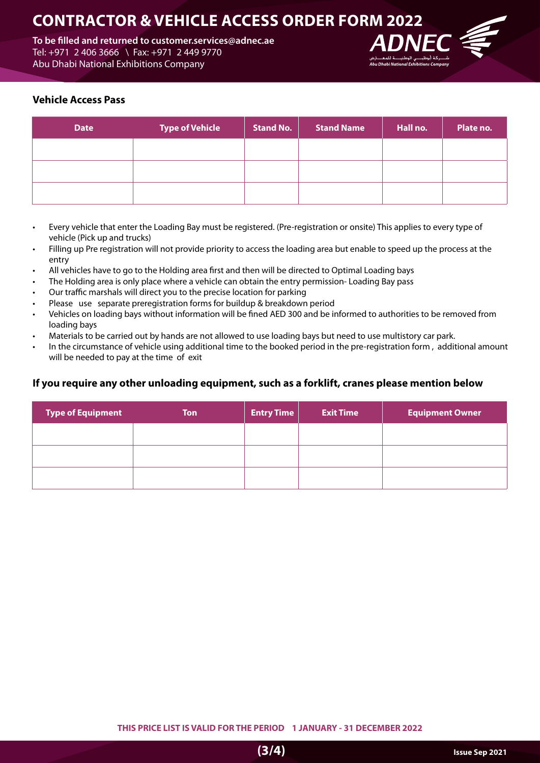# **2022 CONTRACTOR & VEHICLE ACCESS ORDER FORM 2022**

To be filled and returned to customer services@adnec.ae Tel: +971 2 406 3666 \ Fax: +971 2 449 9770 Abu Dhabi National Exhibitions Company



## **Vehicle Access Pass**

| <b>Date</b> | <b>Type of Vehicle</b> | <b>Stand No.</b> | <b>Stand Name</b> | Hall no. | Plate no. |
|-------------|------------------------|------------------|-------------------|----------|-----------|
|             |                        |                  |                   |          |           |
|             |                        |                  |                   |          |           |
|             |                        |                  |                   |          |           |

- Every vehicle that enter the Loading Bay must be registered. (Pre-registration or onsite) This applies to every type of vehicle (Pick up and trucks)
- Filling up Pre registration will not provide priority to access the loading area but enable to speed up the process at the entry
- All vehicles have to go to the Holding area first and then will be directed to Optimal Loading bays
- The Holding area is only place where a vehicle can obtain the entry permission-Loading Bay pass
- Our traffic marshals will direct you to the precise location for parking
- Please use separate preregistration forms for buildup & breakdown period
- Vehicles on loading bays without information will be fined AED 300 and be informed to authorities to be removed from loading bays
- Materials to be carried out by hands are not allowed to use loading bays but need to use multistory car park.
- In the circumstance of vehicle using additional time to the booked period in the pre-registration form, additional amount will be needed to pay at the time of exit

## **If you require any other unloading equipment, such as a forklift, cranes please mention below**

| <b>Type of Equipment</b> | <b>Ton</b> | <b>Entry Time</b> | <b>Exit Time</b> | <b>Equipment Owner</b> |
|--------------------------|------------|-------------------|------------------|------------------------|
|                          |            |                   |                  |                        |
|                          |            |                   |                  |                        |
|                          |            |                   |                  |                        |

**2022 THIS PRICE LIST IS VALID FOR THE PERIOD 1 JANUARY - 31 DECEMBER 2022**